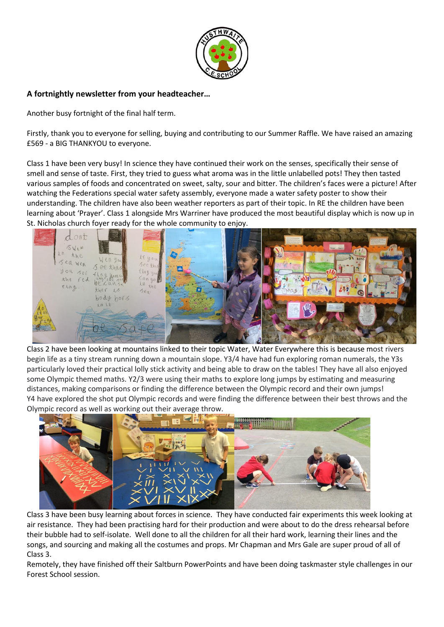

# **A fortnightly newsletter from your headteacher…**

Another busy fortnight of the final half term.

Firstly, thank you to everyone for selling, buying and contributing to our Summer Raffle. We have raised an amazing £569 - a BIG THANKYOU to everyone.

Class 1 have been very busy! In science they have continued their work on the senses, specifically their sense of smell and sense of taste. First, they tried to guess what aroma was in the little unlabelled pots! They then tasted various samples of foods and concentrated on sweet, salty, sour and bitter. The children's faces were a picture! After watching the Federations special water safety assembly, everyone made a water safety poster to show their understanding. The children have also been weather reporters as part of their topic. In RE the children have been learning about 'Prayer'. Class 1 alongside Mrs Warriner have produced the most beautiful display which is now up in St. Nicholas church foyer ready for the whole community to enjoy.



Class 2 have been looking at mountains linked to their topic Water, Water Everywhere this is because most rivers begin life as a tiny stream running down a mountain slope. Y3/4 have had fun exploring roman numerals, the Y3s particularly loved their practical lolly stick activity and being able to draw on the tables! They have all also enjoyed some Olympic themed maths. Y2/3 were using their maths to explore long jumps by estimating and measuring distances, making comparisons or finding the difference between the Olympic record and their own jumps! Y4 have explored the shot put Olympic records and were finding the difference between their best throws and the Olympic record as well as working out their average throw.



Class 3 have been busy learning about forces in science. They have conducted fair experiments this week looking at air resistance. They had been practising hard for their production and were about to do the dress rehearsal before their bubble had to self-isolate. Well done to all the children for all their hard work, learning their lines and the songs, and sourcing and making all the costumes and props. Mr Chapman and Mrs Gale are super proud of all of Class 3.

Remotely, they have finished off their Saltburn PowerPoints and have been doing taskmaster style challenges in our Forest School session.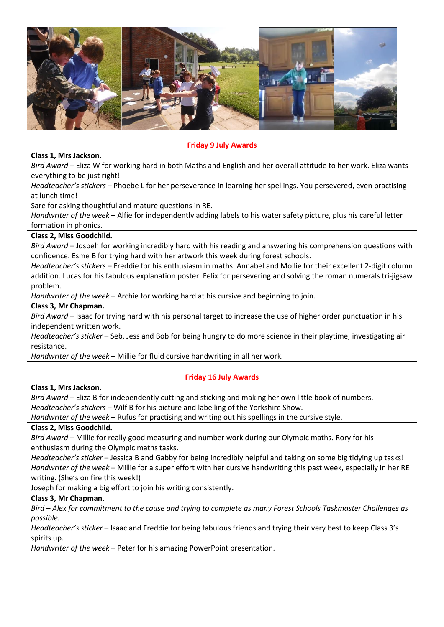

## **Friday 9 July Awards**

# **Class 1, Mrs Jackson.**

*Bird Award* – Eliza W for working hard in both Maths and English and her overall attitude to her work. Eliza wants everything to be just right!

*Headteacher's stickers* – Phoebe L for her perseverance in learning her spellings. You persevered, even practising at lunch time!

Sare for asking thoughtful and mature questions in RE.

*Handwriter of the week* – Alfie for independently adding labels to his water safety picture, plus his careful letter formation in phonics.

## **Class 2, Miss Goodchild.**

*Bird Award* – Jospeh for working incredibly hard with his reading and answering his comprehension questions with confidence. Esme B for trying hard with her artwork this week during forest schools.

*Headteacher's stickers* – Freddie for his enthusiasm in maths. Annabel and Mollie for their excellent 2-digit column addition. Lucas for his fabulous explanation poster. Felix for persevering and solving the roman numerals tri-jigsaw problem.

*Handwriter of the week* – Archie for working hard at his cursive and beginning to join.

## **Class 3, Mr Chapman.**

*Bird Award* – Isaac for trying hard with his personal target to increase the use of higher order punctuation in his independent written work.

*Headteacher's sticker* – Seb, Jess and Bob for being hungry to do more science in their playtime, investigating air resistance.

*Handwriter of the week* – Millie for fluid cursive handwriting in all her work.

# **Friday 16 July Awards**

#### **Class 1, Mrs Jackson.**

*Bird Award* – Eliza B for independently cutting and sticking and making her own little book of numbers. *Headteacher's stickers* – Wilf B for his picture and labelling of the Yorkshire Show.

*Handwriter of the week* – Rufus for practising and writing out his spellings in the cursive style.

# **Class 2, Miss Goodchild.**

*Bird Award* – Millie for really good measuring and number work during our Olympic maths. Rory for his enthusiasm during the Olympic maths tasks.

*Headteacher's sticker* – Jessica B and Gabby for being incredibly helpful and taking on some big tidying up tasks! *Handwriter of the week* – Millie for a super effort with her cursive handwriting this past week, especially in her RE writing. (She's on fire this week!)

Joseph for making a big effort to join his writing consistently.

# **Class 3, Mr Chapman.**

*Bird – Alex for commitment to the cause and trying to complete as many Forest Schools Taskmaster Challenges as possible.* 

*Headteacher's sticker* – Isaac and Freddie for being fabulous friends and trying their very best to keep Class 3's spirits up.

*Handwriter of the week* – Peter for his amazing PowerPoint presentation.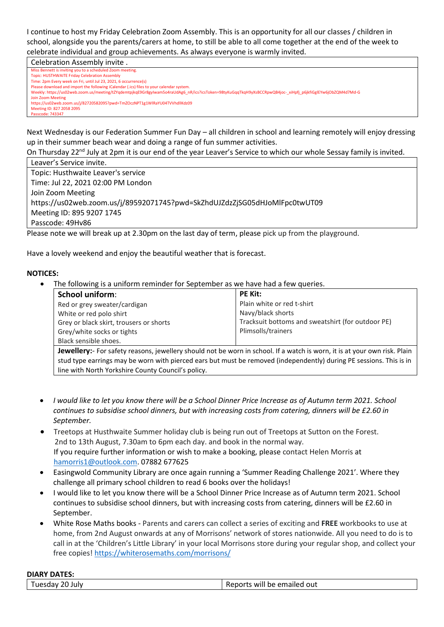I continue to host my Friday Celebration Zoom Assembly. This is an opportunity for all our classes / children in school, alongside you the parents/carers at home, to still be able to all come together at the end of the week to celebrate individual and group achievements. As always everyone is warmly invited.

Celebration Assembly invite .

ng you to a scheduled Zoom meeting

Topic: HUSTHWAITE Friday Celebration Assembly Time: 2pm Every week on Fri, until Jul 23, 2021, 6 occurrence(s)

Please download and import the following iCalendar (.ics) files to your calendar system.

Weekly: https://us02web.zoom.us/meeting/tZYqdemtpikqE9Gr8gyIwam5o4raUdAg6\_nR/ics?icsToken=98tyKuGqqTkqH9yXsBCCRpwQB4joc-\_xiHpfj\_p6jkfiGglEYw6jObZQM4d7Md-G m Meeti

https://us02web.zoom.us/j/82720582095?pwd=TmZOczNPT1g1WlRaYU04TVVhdllKdz09 Meeting ID: 827 2058 2095

Passcode: 743347

Next Wednesday is our Federation Summer Fun Day – all children in school and learning remotely will enjoy dressing up in their summer beach wear and doing a range of fun summer activities.

On Thursday 22<sup>nd</sup> July at 2pm it is our end of the year Leaver's Service to which our whole Sessay family is invited.

Leaver's Service invite. Topic: Husthwaite Leaver's service Time: Jul 22, 2021 02:00 PM London Join Zoom Meeting https://us02web.zoom.us/j/89592071745?pwd=SkZhdUJZdzZjSG05dHJoMlFpc0twUT09 Meeting ID: 895 9207 1745 Passcode: 49Hv86

Please note we will break up at 2.30pm on the last day of term, please pick up from the playground.

Have a lovely weekend and enjoy the beautiful weather that is forecast.

## **NOTICES:**

The following is a uniform reminder for September as we have had a few queries.

| <b>School uniform:</b>                                                                                                           | <b>PE Kit:</b>                                    |
|----------------------------------------------------------------------------------------------------------------------------------|---------------------------------------------------|
| Red or grey sweater/cardigan                                                                                                     | Plain white or red t-shirt                        |
| White or red polo shirt                                                                                                          | Navy/black shorts                                 |
| Grey or black skirt, trousers or shorts                                                                                          | Tracksuit bottoms and sweatshirt (for outdoor PE) |
| Grey/white socks or tights                                                                                                       | Plimsolls/trainers                                |
| Black sensible shoes.                                                                                                            |                                                   |
| <b>Lowalloru</b> , Fer safety reasons, journlery should not be were in school. If a watch is were it is at your own rick. Plain, |                                                   |

**Jewellery:**- For safety reasons, jewellery should not be worn in school. If a watch is worn, it is at your own risk. Plain stud type earrings may be worn with pierced ears but must be removed (independently) during PE sessions. This is in line with North Yorkshire County Council's policy.

- *I would like to let you know there will be a School Dinner Price Increase as of Autumn term 2021. School continues to subsidise school dinners, but with increasing costs from catering, dinners will be £2.60 in September.*
- Treetops at Husthwaite Summer holiday club is being run out of Treetops at Sutton on the Forest. 2nd to 13th August, 7.30am to 6pm each day. and book in the normal way. If you require further information or wish to make a booking, please contact Helen Morris at [hamorris1@outlook.com.](mailto:hamorris1@outlook.com) 07882 677625
- Easingwold Community Library are once again running a 'Summer Reading Challenge 2021'. Where they challenge all primary school children to read 6 books over the holidays!
- I would like to let you know there will be a School Dinner Price Increase as of Autumn term 2021. School continues to subsidise school dinners, but with increasing costs from catering, dinners will be £2.60 in September.
- White Rose Maths books Parents and carers can collect a series of exciting and **FREE** workbooks to use at home, from 2nd August onwards at any of Morrisons' network of stores nationwide. All you need to do is to call in at the 'Children's Little Library' in your local Morrisons store during your regular shop, and collect your free copies[! https://whiterosemaths.com/morrisons/](https://whiterosemaths.com/morrisons/)

#### **DIARY DATES:**

Tuesday 20 July Reports will be emailed out